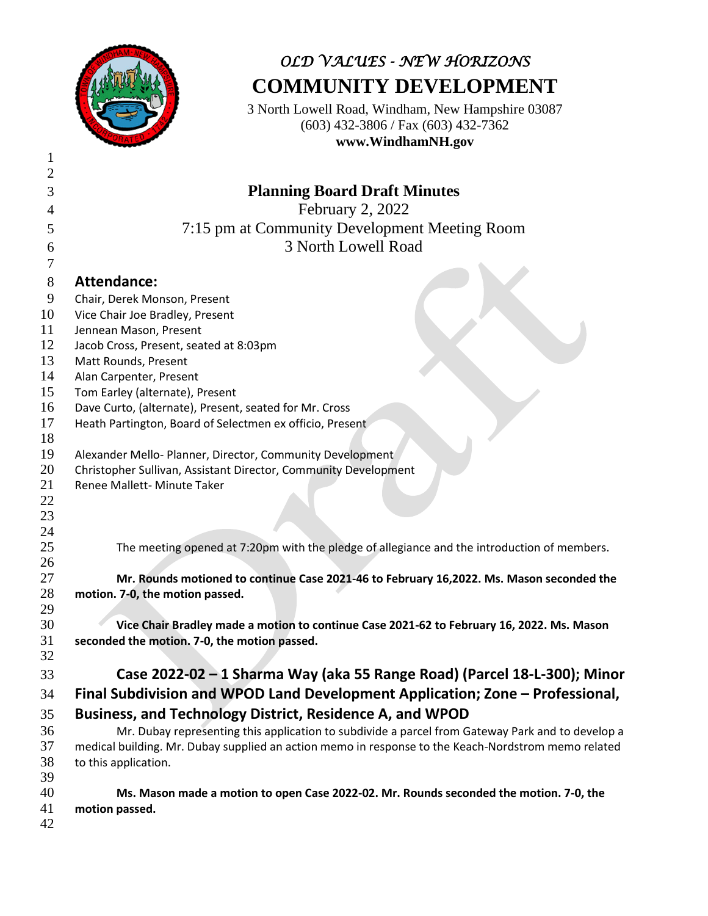

## *OLD VALUES - NEW HORIZONS* **COMMUNITY DEVELOPMENT**

3 North Lowell Road, Windham, New Hampshire 03087 (603) 432-3806 / Fax (603) 432-7362 **www.WindhamNH.gov**

| $\overline{2}$ |                                                                                                     |
|----------------|-----------------------------------------------------------------------------------------------------|
| 3              | <b>Planning Board Draft Minutes</b>                                                                 |
| 4              | February 2, 2022                                                                                    |
| 5              | 7:15 pm at Community Development Meeting Room                                                       |
|                | 3 North Lowell Road                                                                                 |
| 6<br>7         |                                                                                                     |
|                |                                                                                                     |
| 8              | <b>Attendance:</b>                                                                                  |
| 9              | Chair, Derek Monson, Present                                                                        |
| 10<br>11       | Vice Chair Joe Bradley, Present                                                                     |
| 12             | Jennean Mason, Present<br>Jacob Cross, Present, seated at 8:03pm                                    |
| 13             | Matt Rounds, Present                                                                                |
| 14             | Alan Carpenter, Present                                                                             |
| 15             | Tom Earley (alternate), Present                                                                     |
| 16             | Dave Curto, (alternate), Present, seated for Mr. Cross                                              |
| 17             | Heath Partington, Board of Selectmen ex officio, Present                                            |
| 18             |                                                                                                     |
| 19             | Alexander Mello- Planner, Director, Community Development                                           |
| 20             | Christopher Sullivan, Assistant Director, Community Development                                     |
| 21             | Renee Mallett- Minute Taker                                                                         |
| 22             |                                                                                                     |
| 23             |                                                                                                     |
| 24             |                                                                                                     |
| 25             | The meeting opened at 7:20pm with the pledge of allegiance and the introduction of members.         |
| 26             |                                                                                                     |
| 27             | Mr. Rounds motioned to continue Case 2021-46 to February 16,2022. Ms. Mason seconded the            |
| 28<br>29       | motion. 7-0, the motion passed.                                                                     |
| 30             | Vice Chair Bradley made a motion to continue Case 2021-62 to February 16, 2022. Ms. Mason           |
| 31             | seconded the motion. 7-0, the motion passed.                                                        |
| 32             |                                                                                                     |
| 33             | Case 2022-02 - 1 Sharma Way (aka 55 Range Road) (Parcel 18-L-300); Minor                            |
|                |                                                                                                     |
| 34             | Final Subdivision and WPOD Land Development Application; Zone - Professional,                       |
| 35             | Business, and Technology District, Residence A, and WPOD                                            |
| 36             | Mr. Dubay representing this application to subdivide a parcel from Gateway Park and to develop a    |
| 37             | medical building. Mr. Dubay supplied an action memo in response to the Keach-Nordstrom memo related |
| 38             | to this application.                                                                                |
| 39             |                                                                                                     |
| 40             | Ms. Mason made a motion to open Case 2022-02. Mr. Rounds seconded the motion. 7-0, the              |
| 41             | motion passed.                                                                                      |
| 42             |                                                                                                     |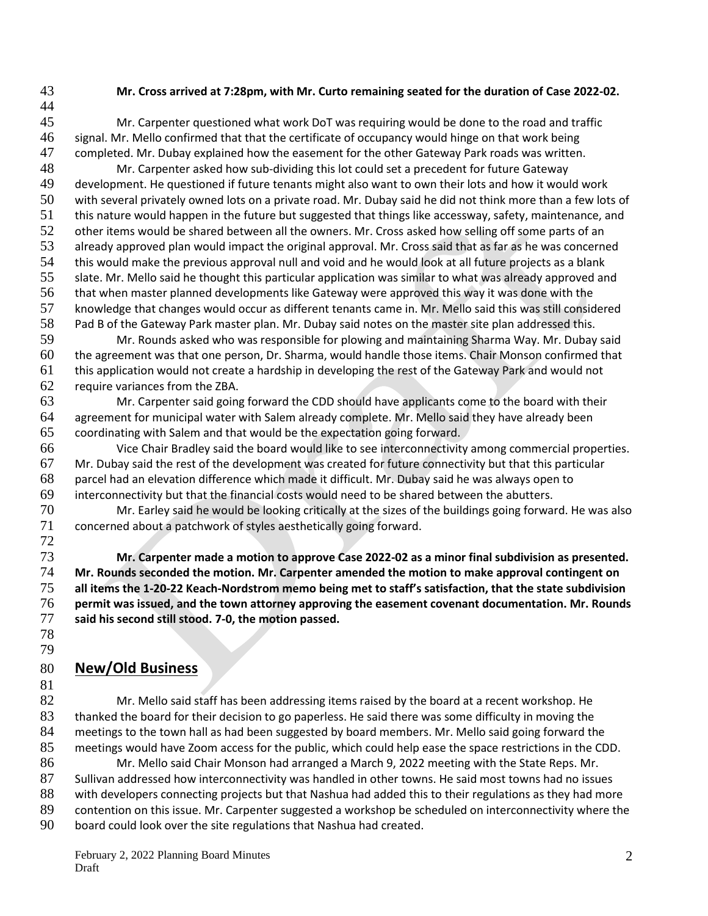## **Mr. Cross arrived at 7:28pm, with Mr. Curto remaining seated for the duration of Case 2022-02.**

 Mr. Carpenter questioned what work DoT was requiring would be done to the road and traffic signal. Mr. Mello confirmed that that the certificate of occupancy would hinge on that work being completed. Mr. Dubay explained how the easement for the other Gateway Park roads was written. Mr. Carpenter asked how sub-dividing this lot could set a precedent for future Gateway development. He questioned if future tenants might also want to own their lots and how it would work with several privately owned lots on a private road. Mr. Dubay said he did not think more than a few lots of this nature would happen in the future but suggested that things like accessway, safety, maintenance, and 52 other items would be shared between all the owners. Mr. Cross asked how selling off some parts of an already approved plan would impact the original approval. Mr. Cross said that as far as he was concerned this would make the previous approval null and void and he would look at all future projects as a blank slate. Mr. Mello said he thought this particular application was similar to what was already approved and that when master planned developments like Gateway were approved this way it was done with the knowledge that changes would occur as different tenants came in. Mr. Mello said this was still considered Pad B of the Gateway Park master plan. Mr. Dubay said notes on the master site plan addressed this. Mr. Rounds asked who was responsible for plowing and maintaining Sharma Way. Mr. Dubay said the agreement was that one person, Dr. Sharma, would handle those items. Chair Monson confirmed that this application would not create a hardship in developing the rest of the Gateway Park and would not require variances from the ZBA. Mr. Carpenter said going forward the CDD should have applicants come to the board with their agreement for municipal water with Salem already complete. Mr. Mello said they have already been coordinating with Salem and that would be the expectation going forward. Vice Chair Bradley said the board would like to see interconnectivity among commercial properties. Mr. Dubay said the rest of the development was created for future connectivity but that this particular parcel had an elevation difference which made it difficult. Mr. Dubay said he was always open to interconnectivity but that the financial costs would need to be shared between the abutters. Mr. Earley said he would be looking critically at the sizes of the buildings going forward. He was also concerned about a patchwork of styles aesthetically going forward. 

 **Mr. Carpenter made a motion to approve Case 2022-02 as a minor final subdivision as presented. Mr. Rounds seconded the motion. Mr. Carpenter amended the motion to make approval contingent on all items the 1-20-22 Keach-Nordstrom memo being met to staff's satisfaction, that the state subdivision permit was issued, and the town attorney approving the easement covenant documentation. Mr. Rounds said his second still stood. 7-0, the motion passed.** 

 

## **New/Old Business**

82 Mr. Mello said staff has been addressing items raised by the board at a recent workshop. He thanked the board for their decision to go paperless. He said there was some difficulty in moving the meetings to the town hall as had been suggested by board members. Mr. Mello said going forward the meetings would have Zoom access for the public, which could help ease the space restrictions in the CDD. 86 Mr. Mello said Chair Monson had arranged a March 9, 2022 meeting with the State Reps. Mr.

 Sullivan addressed how interconnectivity was handled in other towns. He said most towns had no issues 88 with developers connecting projects but that Nashua had added this to their regulations as they had more contention on this issue. Mr. Carpenter suggested a workshop be scheduled on interconnectivity where the board could look over the site regulations that Nashua had created.